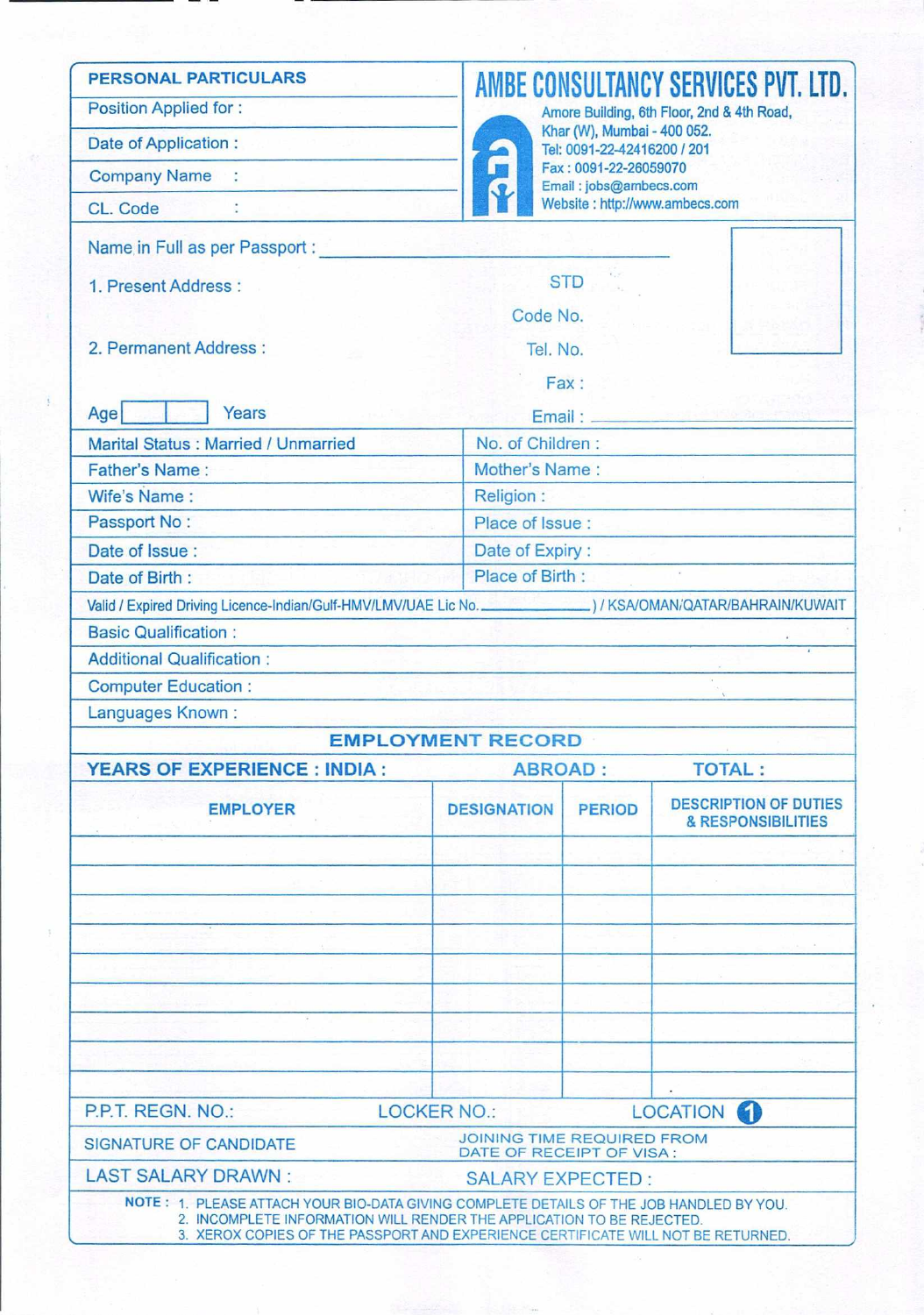| <b>PERSONAL PARTICULARS</b>                                                                                                                                                                                                                          |                                                                                                                       |                                                            | AMBE CONSULTANCY SERVICES PVT. LTD.                |  |  |  |
|------------------------------------------------------------------------------------------------------------------------------------------------------------------------------------------------------------------------------------------------------|-----------------------------------------------------------------------------------------------------------------------|------------------------------------------------------------|----------------------------------------------------|--|--|--|
| <b>Position Applied for:</b>                                                                                                                                                                                                                         |                                                                                                                       |                                                            | Amore Building, 6th Floor, 2nd & 4th Road,         |  |  |  |
| Date of Application:                                                                                                                                                                                                                                 |                                                                                                                       | Khar (W), Mumbai - 400 052.<br>Tel: 0091-22-42416200 / 201 |                                                    |  |  |  |
| <b>Company Name:</b>                                                                                                                                                                                                                                 |                                                                                                                       | Fax: 0091-22-26059070<br>Email: jobs@ambecs.com            |                                                    |  |  |  |
| CL. Code                                                                                                                                                                                                                                             |                                                                                                                       | Website: http://www.ambecs.com                             |                                                    |  |  |  |
| Name in Full as per Passport :                                                                                                                                                                                                                       |                                                                                                                       |                                                            |                                                    |  |  |  |
| 1. Present Address:                                                                                                                                                                                                                                  |                                                                                                                       | <b>STD</b>                                                 |                                                    |  |  |  |
|                                                                                                                                                                                                                                                      | Code No.                                                                                                              |                                                            |                                                    |  |  |  |
| 2. Permanent Address:                                                                                                                                                                                                                                |                                                                                                                       | Tel. No.                                                   |                                                    |  |  |  |
|                                                                                                                                                                                                                                                      |                                                                                                                       | Fax:                                                       |                                                    |  |  |  |
| Years<br>Age                                                                                                                                                                                                                                         | Email:                                                                                                                |                                                            |                                                    |  |  |  |
| Marital Status: Married / Unmarried                                                                                                                                                                                                                  | No. of Children:                                                                                                      |                                                            |                                                    |  |  |  |
| Father's Name:                                                                                                                                                                                                                                       |                                                                                                                       | Mother's Name:                                             |                                                    |  |  |  |
| Wife's Name:                                                                                                                                                                                                                                         | <b>Religion:</b>                                                                                                      |                                                            |                                                    |  |  |  |
| Passport No:                                                                                                                                                                                                                                         |                                                                                                                       | Place of Issue:                                            |                                                    |  |  |  |
| Date of Issue:                                                                                                                                                                                                                                       |                                                                                                                       | Date of Expiry:                                            |                                                    |  |  |  |
| Date of Birth:                                                                                                                                                                                                                                       |                                                                                                                       | Place of Birth:                                            |                                                    |  |  |  |
| Valid / Expired Driving Licence-Indian/Gulf-HMV/LMV/UAE Lic No. (2008) / KSA/OMAN/QATAR/BAHRAIN/KUWAIT                                                                                                                                               |                                                                                                                       |                                                            |                                                    |  |  |  |
| <b>Basic Qualification:</b>                                                                                                                                                                                                                          |                                                                                                                       |                                                            |                                                    |  |  |  |
| <b>Additional Qualification:</b>                                                                                                                                                                                                                     | <u> 1988 - Alexandria de Americano de Antonio de Ant</u>                                                              |                                                            |                                                    |  |  |  |
| <b>Computer Education:</b>                                                                                                                                                                                                                           | <u> 1989 - James John Stone, amerikan bisa di sebagai perangan bagi perangan bagi perangan bagi perangan bagi per</u> |                                                            |                                                    |  |  |  |
| Languages Known:                                                                                                                                                                                                                                     | the History of the Advance of the Control                                                                             |                                                            |                                                    |  |  |  |
|                                                                                                                                                                                                                                                      | <b>EMPLOYMENT RECORD</b>                                                                                              |                                                            |                                                    |  |  |  |
| <b>YEARS OF EXPERIENCE : INDIA :</b>                                                                                                                                                                                                                 | <b>ABROAD:</b>                                                                                                        |                                                            | <b>TOTAL:</b>                                      |  |  |  |
| <b>EMPLOYER</b>                                                                                                                                                                                                                                      | <b>DESIGNATION</b>                                                                                                    | <b>PERIOD</b>                                              | <b>DESCRIPTION OF DUTIES</b><br>& RESPONSIBILITIES |  |  |  |
|                                                                                                                                                                                                                                                      |                                                                                                                       |                                                            |                                                    |  |  |  |
|                                                                                                                                                                                                                                                      |                                                                                                                       |                                                            |                                                    |  |  |  |
|                                                                                                                                                                                                                                                      |                                                                                                                       |                                                            |                                                    |  |  |  |
|                                                                                                                                                                                                                                                      |                                                                                                                       |                                                            |                                                    |  |  |  |
|                                                                                                                                                                                                                                                      |                                                                                                                       |                                                            |                                                    |  |  |  |
|                                                                                                                                                                                                                                                      |                                                                                                                       |                                                            |                                                    |  |  |  |
|                                                                                                                                                                                                                                                      |                                                                                                                       |                                                            |                                                    |  |  |  |
|                                                                                                                                                                                                                                                      |                                                                                                                       |                                                            |                                                    |  |  |  |
|                                                                                                                                                                                                                                                      |                                                                                                                       |                                                            |                                                    |  |  |  |
| P.P.T. REGN. NO.:<br><b>LOCKER NO.:</b>                                                                                                                                                                                                              |                                                                                                                       | LOCATION (                                                 |                                                    |  |  |  |
| <b>SIGNATURE OF CANDIDATE</b>                                                                                                                                                                                                                        | <b>JOINING TIME REQUIRED FROM</b><br>DATE OF RECEIPT OF VISA:                                                         |                                                            |                                                    |  |  |  |
| <b>LAST SALARY DRAWN:</b>                                                                                                                                                                                                                            | <b>SALARY EXPECTED:</b>                                                                                               |                                                            |                                                    |  |  |  |
| NOTE: 1. PLEASE ATTACH YOUR BIO-DATA GIVING COMPLETE DETAILS OF THE JOB HANDLED BY YOU.<br>2. INCOMPLETE INFORMATION WILL RENDER THE APPLICATION TO BE REJECTED.<br>3. XEROX COPIES OF THE PASSPORT AND EXPERIENCE CERTIFICATE WILL NOT BE RETURNED. |                                                                                                                       |                                                            |                                                    |  |  |  |
|                                                                                                                                                                                                                                                      |                                                                                                                       |                                                            |                                                    |  |  |  |